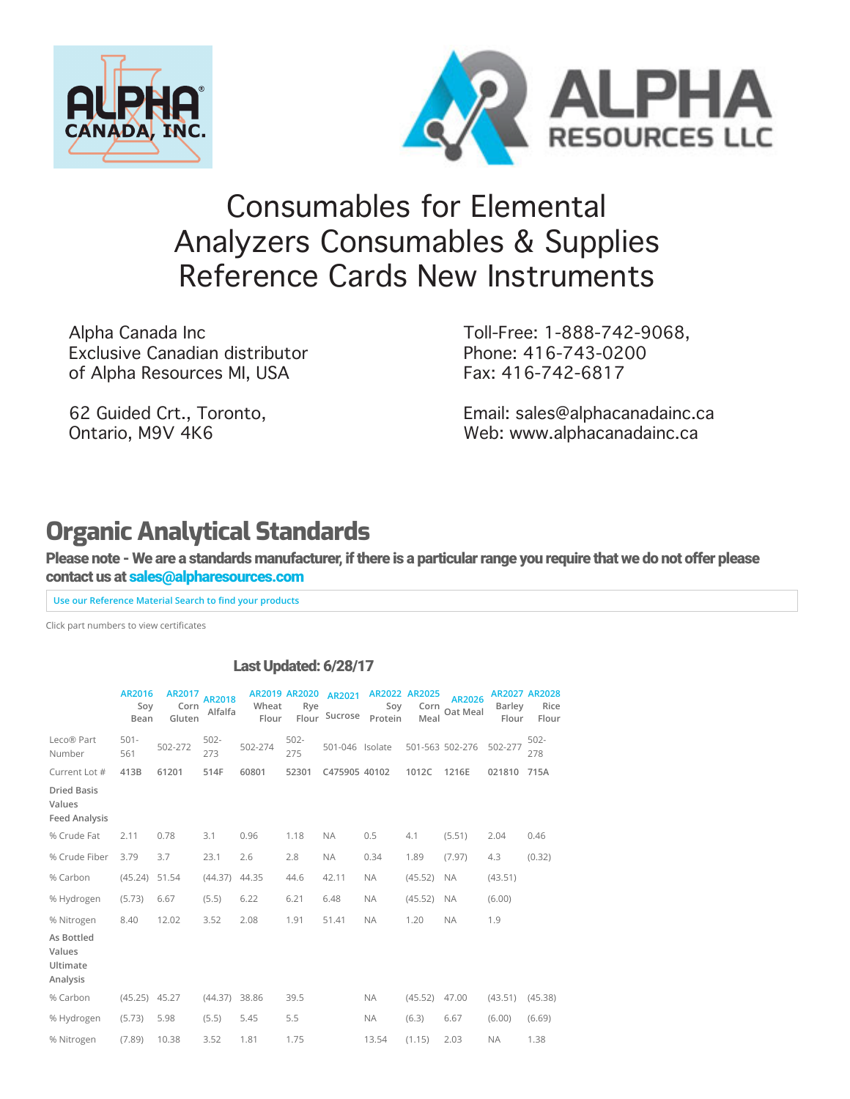



## [Co](https://www.alpharesources.com/eltra_chnos_analyzers.php)[nsumables](https://www.alpharesources.com/gerhardtvelp.php) [for](https://www.alpharesources.com/horiba.php) [Ele](https://www.alpharesources.com/leco-quick-cards.php)[men](https://www.alpharesources.com/literature.php)[tal](https://www.alpharesources.com/current-list-of-standards.php)  [Ana](https://www.alpharesources.com/elementar.php)lyzers Consumables & Supplies Reference Cards New Instruments

Alpha Canada Inc Exclusive Canadian distributor of Alpha Resources MI, USA

62 Guided Crt., Toronto, Ontario, M9V 4K6

Toll-Free: 1-888-742-9068, Phone: 416-743-0200 Fax: 416-742-6817

[Email: sales@alphacanadainc.ca](https://www.alpharesources.com/advanced_search.php) [Web: www.alphacanadainc.ca](https://www.alpharesources.com/advanced_matrix_search.php)

## **Organic Analytical Standards**

Please note - We are a standards manufacturer, if there is a particular range you require that we do not offer please contact us at [sales@alpharesources.com](mailto:Sales@alpharesources.com?subject=Standard%20Request)

**Use our Reference Material Search to find your products** 

Click part numbers to view certificates

## Last Updated: 6/28/17

|                                                      | AR2016<br>Soy<br>Bean | AR2017<br>Corn<br>Gluten | <b>AR2018</b><br>Alfalfa | Wheat<br>Flour | <b>AR2019 AR2020</b><br>Rye | AR2021<br>Flour Sucrose | Soy<br>Protein | AR2022 AR2025<br>Corn<br>Meal | AR2026<br>Oat Meal | Barley<br>Flour | AR2027 AR2028<br>Rice<br>Flour |
|------------------------------------------------------|-----------------------|--------------------------|--------------------------|----------------|-----------------------------|-------------------------|----------------|-------------------------------|--------------------|-----------------|--------------------------------|
| Leco® Part<br>Number                                 | $501 -$<br>561        | 502-272                  | $502 -$<br>273           | 502-274        | $502 -$<br>275              | 501-046 Isolate         |                |                               | 501-563 502-276    | 502-277         | $502 -$<br>278                 |
| Current Lot #                                        | 413B                  | 61201                    | 514F                     | 60801          | 52301                       | C475905 40102           |                | 1012C                         | 1216E              | 021810          | 715A                           |
| <b>Dried Basis</b><br>Values<br><b>Feed Analysis</b> |                       |                          |                          |                |                             |                         |                |                               |                    |                 |                                |
| % Crude Fat                                          | 2.11                  | 0.78                     | 3.1                      | 0.96           | 1.18                        | <b>NA</b>               | 0.5            | 4.1                           | (5.51)             | 2.04            | 0.46                           |
| % Crude Fiber                                        | 3.79                  | 3.7                      | 23.1                     | 2.6            | 2.8                         | <b>NA</b>               | 0.34           | 1.89                          | (7.97)             | 4.3             | (0.32)                         |
| % Carbon                                             | (45.24)               | 51.54                    | (44.37)                  | 44.35          | 44.6                        | 42.11                   | <b>NA</b>      | (45.52)                       | <b>NA</b>          | (43.51)         |                                |
| % Hydrogen                                           | (5.73)                | 6.67                     | (5.5)                    | 6.22           | 6.21                        | 6.48                    | <b>NA</b>      | (45.52)                       | <b>NA</b>          | (6.00)          |                                |
| % Nitrogen                                           | 8.40                  | 12.02                    | 3.52                     | 2.08           | 1.91                        | 51.41                   | <b>NA</b>      | 1.20                          | <b>NA</b>          | 1.9             |                                |
| As Bottled<br>Values<br>Ultimate<br>Analysis         |                       |                          |                          |                |                             |                         |                |                               |                    |                 |                                |
| % Carbon                                             | $(45.25)$ 45.27       |                          | (44.37)                  | 38.86          | 39.5                        |                         | <b>NA</b>      | (45.52)                       | 47.00              | (43.51)         | (45.38)                        |
| % Hydrogen                                           | (5.73)                | 5.98                     | (5.5)                    | 5.45           | 5.5                         |                         | <b>NA</b>      | (6.3)                         | 6.67               | (6.00)          | (6.69)                         |
| % Nitrogen                                           | (7.89)                | 10.38                    | 3.52                     | 1.81           | 1.75                        |                         | 13.54          | (1.15)                        | 2.03               | <b>NA</b>       | 1.38                           |